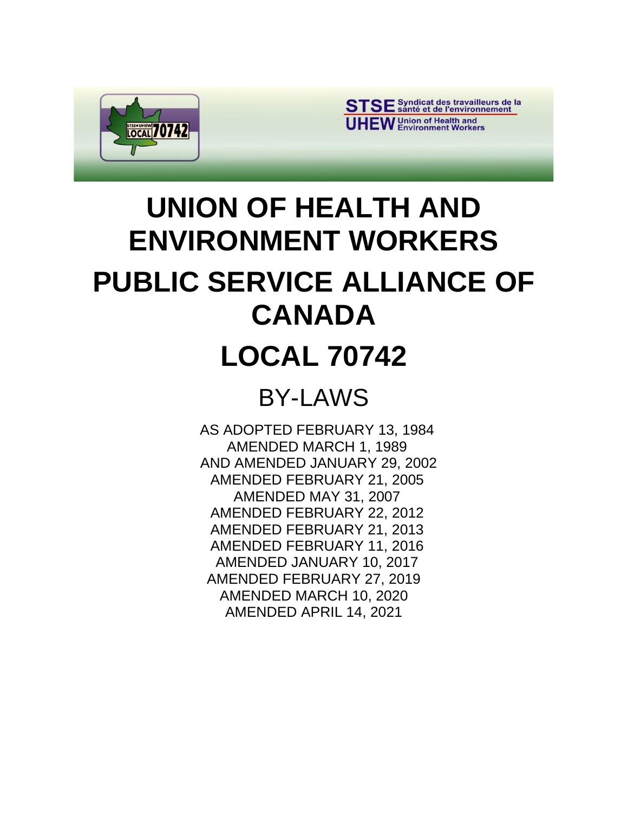

STSE Syndicat des travailleurs de la **UHEW** Union of Health and

# **UNION OF HEALTH AND ENVIRONMENT WORKERS PUBLIC SERVICE ALLIANCE OF CANADA**

## **LOCAL 70742**

## BY-LAWS

AS ADOPTED FEBRUARY 13, 1984 AMENDED MARCH 1, 1989 AND AMENDED JANUARY 29, 2002 AMENDED FEBRUARY 21, 2005 AMENDED MAY 31, 2007 AMENDED FEBRUARY 22, 2012 AMENDED FEBRUARY 21, 2013 AMENDED FEBRUARY 11, 2016 AMENDED JANUARY 10, 2017 AMENDED FEBRUARY 27, 2019 AMENDED MARCH 10, 2020 AMENDED APRIL 14, 2021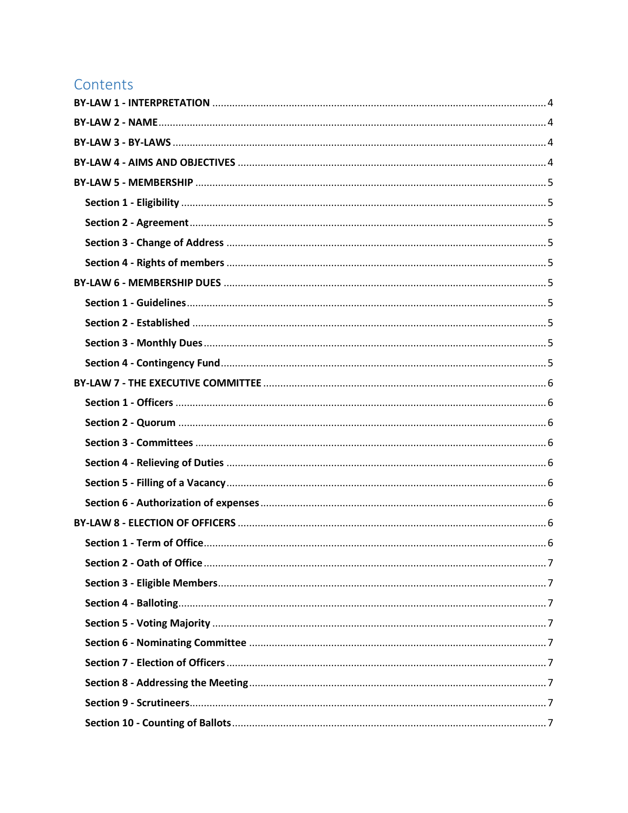## Contents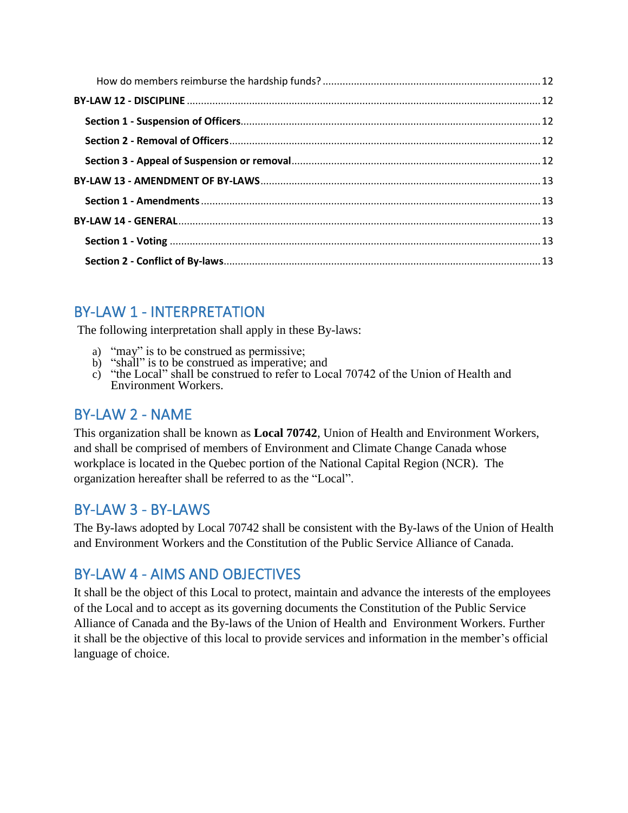## <span id="page-3-0"></span>BY-LAW 1 - INTERPRETATION

The following interpretation shall apply in these By-laws:

- a) "may" is to be construed as permissive;
- b) "shall" is to be construed as imperative; and
- c) "the Local" shall be construed to refer to Local 70742 of the Union of Health and Environment Workers.

## <span id="page-3-1"></span>BY-LAW 2 - NAME

This organization shall be known as **Local 70742**, Union of Health and Environment Workers, and shall be comprised of members of Environment and Climate Change Canada whose workplace is located in the Quebec portion of the National Capital Region (NCR). The organization hereafter shall be referred to as the "Local".

## <span id="page-3-2"></span>BY-LAW 3 - BY-LAWS

The By-laws adopted by Local 70742 shall be consistent with the By-laws of the Union of Health and Environment Workers and the Constitution of the Public Service Alliance of Canada.

## <span id="page-3-3"></span>BY-LAW 4 - AIMS AND OBJECTIVES

It shall be the object of this Local to protect, maintain and advance the interests of the employees of the Local and to accept as its governing documents the Constitution of the Public Service Alliance of Canada and the By-laws of the Union of Health and Environment Workers. Further it shall be the objective of this local to provide services and information in the member's official language of choice.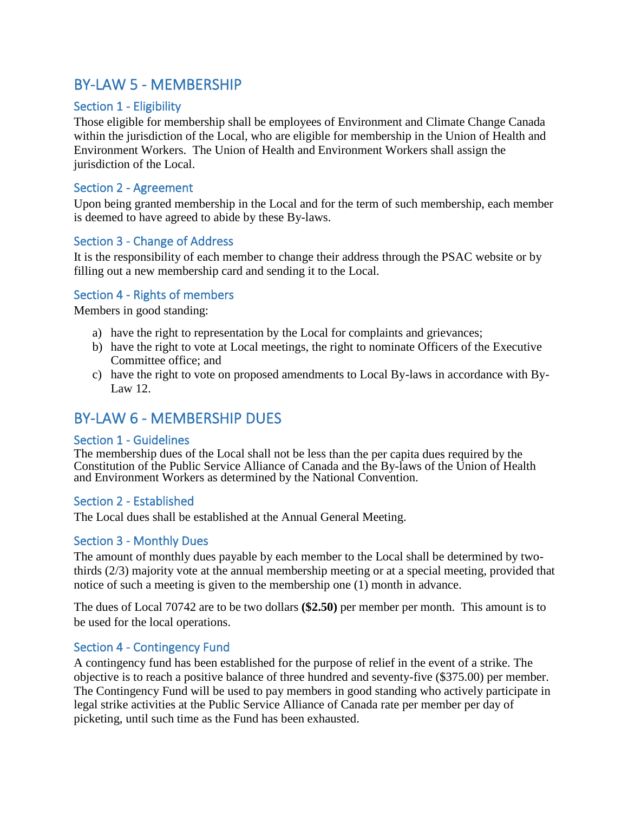## <span id="page-4-0"></span>BY-LAW 5 - MEMBERSHIP

#### <span id="page-4-1"></span>Section 1 - Eligibility

Those eligible for membership shall be employees of Environment and Climate Change Canada within the jurisdiction of the Local, who are eligible for membership in the Union of Health and Environment Workers. The Union of Health and Environment Workers shall assign the jurisdiction of the Local.

#### <span id="page-4-2"></span>Section 2 - Agreement

Upon being granted membership in the Local and for the term of such membership, each member is deemed to have agreed to abide by these By-laws.

#### <span id="page-4-3"></span>Section 3 - Change of Address

It is the responsibility of each member to change their address through the PSAC website or by filling out a new membership card and sending it to the Local.

#### <span id="page-4-4"></span>Section 4 - Rights of members

Members in good standing:

- a) have the right to representation by the Local for complaints and grievances;
- b) have the right to vote at Local meetings, the right to nominate Officers of the Executive Committee office; and
- c) have the right to vote on proposed amendments to Local By-laws in accordance with By-Law 12.

## <span id="page-4-5"></span>BY-LAW 6 - MEMBERSHIP DUES

#### <span id="page-4-6"></span>Section 1 - Guidelines

The membership dues of the Local shall not be less than the per capita dues required by the Constitution of the Public Service Alliance of Canada and the By-laws of the Union of Health and Environment Workers as determined by the National Convention.

#### <span id="page-4-7"></span>Section 2 - Established

The Local dues shall be established at the Annual General Meeting.

#### <span id="page-4-8"></span>Section 3 - Monthly Dues

The amount of monthly dues payable by each member to the Local shall be determined by twothirds (2/3) majority vote at the annual membership meeting or at a special meeting, provided that notice of such a meeting is given to the membership one (1) month in advance.

The dues of Local 70742 are to be two dollars **(\$2.50)** per member per month. This amount is to be used for the local operations.

#### <span id="page-4-9"></span>Section 4 - Contingency Fund

A contingency fund has been established for the purpose of relief in the event of a strike. The objective is to reach a positive balance of three hundred and seventy-five (\$375.00) per member. The Contingency Fund will be used to pay members in good standing who actively participate in legal strike activities at the Public Service Alliance of Canada rate per member per day of picketing, until such time as the Fund has been exhausted.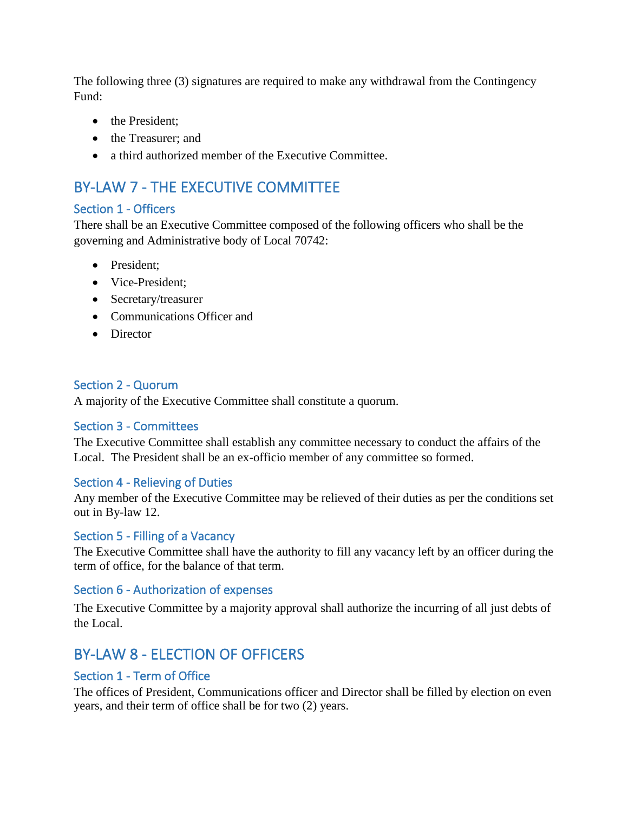The following three (3) signatures are required to make any withdrawal from the Contingency Fund:

- the President;
- the Treasurer; and
- a third authorized member of the Executive Committee.

## <span id="page-5-0"></span>BY-LAW 7 - THE EXECUTIVE COMMITTEE

#### <span id="page-5-1"></span>Section 1 - Officers

There shall be an Executive Committee composed of the following officers who shall be the governing and Administrative body of Local 70742:

- President;
- Vice-President;
- Secretary/treasurer
- Communications Officer and
- Director

#### <span id="page-5-2"></span>Section 2 - Quorum

A majority of the Executive Committee shall constitute a quorum.

#### <span id="page-5-3"></span>Section 3 - Committees

The Executive Committee shall establish any committee necessary to conduct the affairs of the Local. The President shall be an ex-officio member of any committee so formed.

#### <span id="page-5-4"></span>Section 4 - Relieving of Duties

Any member of the Executive Committee may be relieved of their duties as per the conditions set out in By-law 12.

#### <span id="page-5-5"></span>Section 5 - Filling of a Vacancy

The Executive Committee shall have the authority to fill any vacancy left by an officer during the term of office, for the balance of that term.

#### <span id="page-5-6"></span>Section 6 - Authorization of expenses

The Executive Committee by a majority approval shall authorize the incurring of all just debts of the Local.

## <span id="page-5-7"></span>BY-LAW 8 - ELECTION OF OFFICERS

#### <span id="page-5-8"></span>Section 1 - Term of Office

The offices of President, Communications officer and Director shall be filled by election on even years, and their term of office shall be for two (2) years.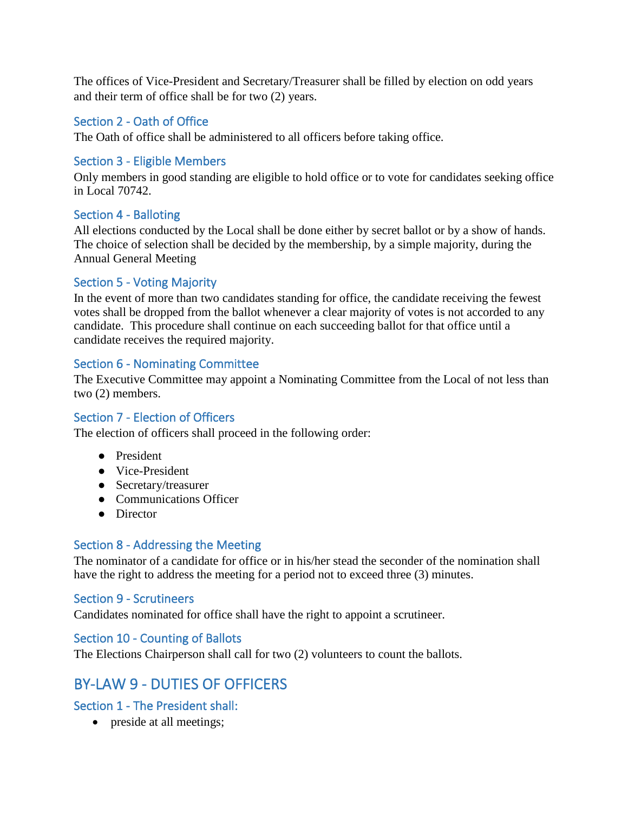The offices of Vice-President and Secretary/Treasurer shall be filled by election on odd years and their term of office shall be for two (2) years.

#### <span id="page-6-0"></span>Section 2 - Oath of Office

The Oath of office shall be administered to all officers before taking office.

#### <span id="page-6-1"></span>Section 3 - Eligible Members

Only members in good standing are eligible to hold office or to vote for candidates seeking office in Local 70742.

#### <span id="page-6-2"></span>Section 4 - Balloting

All elections conducted by the Local shall be done either by secret ballot or by a show of hands. The choice of selection shall be decided by the membership, by a simple majority, during the Annual General Meeting

#### <span id="page-6-3"></span>Section 5 - Voting Majority

In the event of more than two candidates standing for office, the candidate receiving the fewest votes shall be dropped from the ballot whenever a clear majority of votes is not accorded to any candidate. This procedure shall continue on each succeeding ballot for that office until a candidate receives the required majority.

#### <span id="page-6-4"></span>Section 6 - Nominating Committee

The Executive Committee may appoint a Nominating Committee from the Local of not less than two (2) members.

#### <span id="page-6-5"></span>Section 7 - Election of Officers

The election of officers shall proceed in the following order:

- President
- Vice-President
- Secretary/treasurer
- Communications Officer
- Director

#### <span id="page-6-6"></span>Section 8 - Addressing the Meeting

The nominator of a candidate for office or in his/her stead the seconder of the nomination shall have the right to address the meeting for a period not to exceed three (3) minutes.

#### <span id="page-6-7"></span>Section 9 - Scrutineers

Candidates nominated for office shall have the right to appoint a scrutineer.

#### <span id="page-6-8"></span>Section 10 - Counting of Ballots

The Elections Chairperson shall call for two (2) volunteers to count the ballots.

## <span id="page-6-9"></span>BY-LAW 9 - DUTIES OF OFFICERS

#### <span id="page-6-10"></span>Section 1 - The President shall:

• preside at all meetings;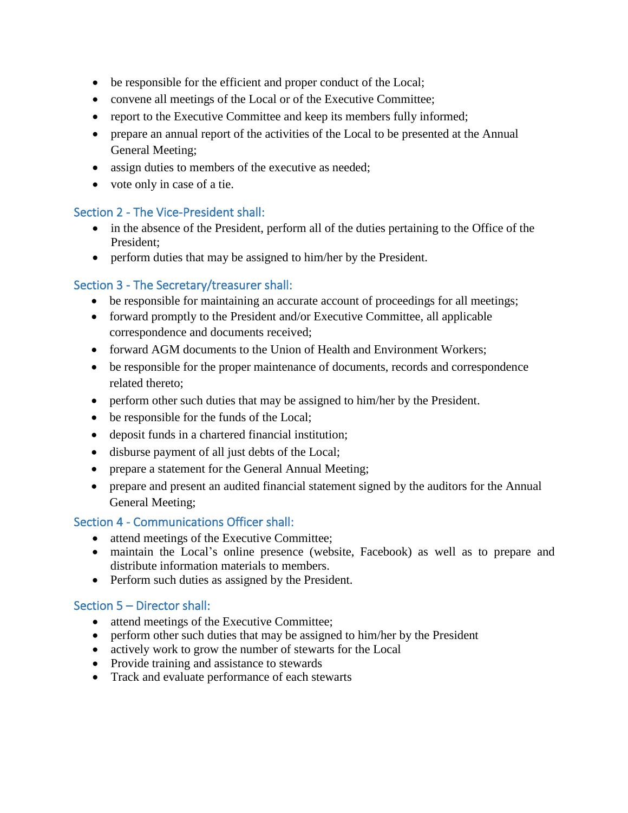- be responsible for the efficient and proper conduct of the Local;
- convene all meetings of the Local or of the Executive Committee;
- report to the Executive Committee and keep its members fully informed;
- prepare an annual report of the activities of the Local to be presented at the Annual General Meeting;
- assign duties to members of the executive as needed;
- vote only in case of a tie.

#### <span id="page-7-0"></span>Section 2 - The Vice-President shall:

- in the absence of the President, perform all of the duties pertaining to the Office of the President;
- perform duties that may be assigned to him/her by the President.

#### <span id="page-7-1"></span>Section 3 - The Secretary/treasurer shall:

- be responsible for maintaining an accurate account of proceedings for all meetings;
- forward promptly to the President and/or Executive Committee, all applicable correspondence and documents received;
- forward AGM documents to the Union of Health and Environment Workers;
- be responsible for the proper maintenance of documents, records and correspondence related thereto;
- perform other such duties that may be assigned to him/her by the President.
- be responsible for the funds of the Local;
- deposit funds in a chartered financial institution;
- disburse payment of all just debts of the Local;
- prepare a statement for the General Annual Meeting;
- prepare and present an audited financial statement signed by the auditors for the Annual General Meeting;

#### <span id="page-7-2"></span>Section 4 - Communications Officer shall:

- attend meetings of the Executive Committee;
- maintain the Local's online presence (website, Facebook) as well as to prepare and distribute information materials to members.
- Perform such duties as assigned by the President.

#### <span id="page-7-3"></span>Section 5 – Director shall:

- attend meetings of the Executive Committee:
- perform other such duties that may be assigned to him/her by the President
- actively work to grow the number of stewarts for the Local
- Provide training and assistance to stewards
- Track and evaluate performance of each stewarts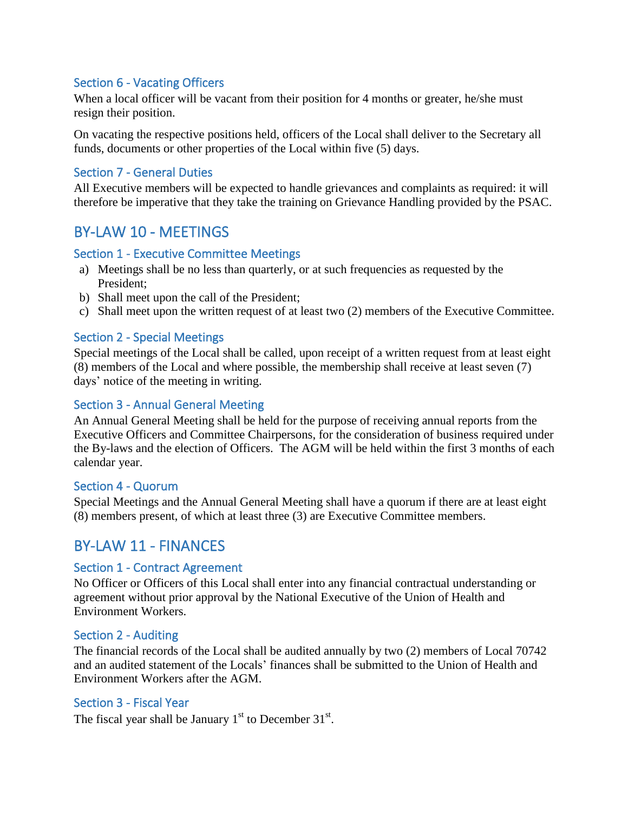#### <span id="page-8-0"></span>Section 6 - Vacating Officers

When a local officer will be vacant from their position for 4 months or greater, he/she must resign their position.

On vacating the respective positions held, officers of the Local shall deliver to the Secretary all funds, documents or other properties of the Local within five (5) days.

#### <span id="page-8-1"></span>Section 7 - General Duties

All Executive members will be expected to handle grievances and complaints as required: it will therefore be imperative that they take the training on Grievance Handling provided by the PSAC.

## <span id="page-8-2"></span>BY-LAW 10 - MEETINGS

#### <span id="page-8-3"></span>Section 1 - Executive Committee Meetings

- a) Meetings shall be no less than quarterly, or at such frequencies as requested by the President;
- b) Shall meet upon the call of the President;
- c) Shall meet upon the written request of at least two (2) members of the Executive Committee.

#### <span id="page-8-4"></span>Section 2 - Special Meetings

Special meetings of the Local shall be called, upon receipt of a written request from at least eight (8) members of the Local and where possible, the membership shall receive at least seven (7) days' notice of the meeting in writing.

#### <span id="page-8-5"></span>Section 3 - Annual General Meeting

An Annual General Meeting shall be held for the purpose of receiving annual reports from the Executive Officers and Committee Chairpersons, for the consideration of business required under the By-laws and the election of Officers. The AGM will be held within the first 3 months of each calendar year.

#### <span id="page-8-6"></span>Section 4 - Quorum

Special Meetings and the Annual General Meeting shall have a quorum if there are at least eight (8) members present, of which at least three (3) are Executive Committee members.

## <span id="page-8-7"></span>BY-LAW 11 - FINANCES

#### <span id="page-8-8"></span>Section 1 - Contract Agreement

No Officer or Officers of this Local shall enter into any financial contractual understanding or agreement without prior approval by the National Executive of the Union of Health and Environment Workers.

#### <span id="page-8-9"></span>Section 2 - Auditing

The financial records of the Local shall be audited annually by two (2) members of Local 70742 and an audited statement of the Locals' finances shall be submitted to the Union of Health and Environment Workers after the AGM.

#### <span id="page-8-10"></span>Section 3 - Fiscal Year

The fiscal year shall be January  $1<sup>st</sup>$  to December 31 $<sup>st</sup>$ .</sup>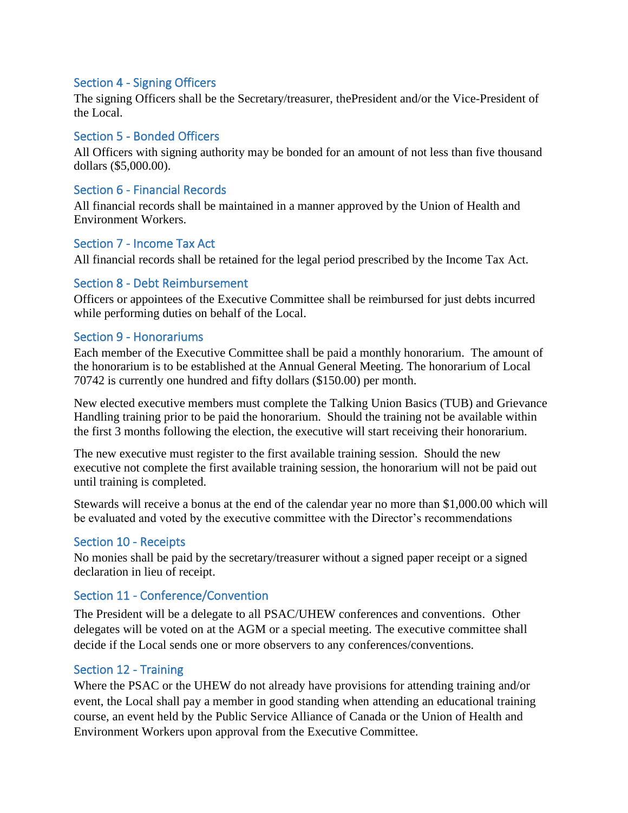#### <span id="page-9-0"></span>Section 4 - Signing Officers

The signing Officers shall be the Secretary/treasurer, thePresident and/or the Vice-President of the Local.

#### <span id="page-9-1"></span>Section 5 - Bonded Officers

All Officers with signing authority may be bonded for an amount of not less than five thousand dollars (\$5,000.00).

#### <span id="page-9-2"></span>Section 6 - Financial Records

All financial records shall be maintained in a manner approved by the Union of Health and Environment Workers.

#### <span id="page-9-3"></span>Section 7 - Income Tax Act

All financial records shall be retained for the legal period prescribed by the Income Tax Act.

#### <span id="page-9-4"></span>Section 8 - Debt Reimbursement

Officers or appointees of the Executive Committee shall be reimbursed for just debts incurred while performing duties on behalf of the Local.

#### <span id="page-9-5"></span>Section 9 - Honorariums

Each member of the Executive Committee shall be paid a monthly honorarium. The amount of the honorarium is to be established at the Annual General Meeting. The honorarium of Local 70742 is currently one hundred and fifty dollars (\$150.00) per month.

New elected executive members must complete the Talking Union Basics (TUB) and Grievance Handling training prior to be paid the honorarium. Should the training not be available within the first 3 months following the election, the executive will start receiving their honorarium.

The new executive must register to the first available training session. Should the new executive not complete the first available training session, the honorarium will not be paid out until training is completed.

Stewards will receive a bonus at the end of the calendar year no more than \$1,000.00 which will be evaluated and voted by the executive committee with the Director's recommendations

#### <span id="page-9-6"></span>Section 10 - Receipts

No monies shall be paid by the secretary/treasurer without a signed paper receipt or a signed declaration in lieu of receipt.

#### <span id="page-9-7"></span>Section 11 - Conference/Convention

The President will be a delegate to all PSAC/UHEW conferences and conventions. Other delegates will be voted on at the AGM or a special meeting. The executive committee shall decide if the Local sends one or more observers to any conferences/conventions.

#### <span id="page-9-8"></span>Section 12 - Training

Where the PSAC or the UHEW do not already have provisions for attending training and/or event, the Local shall pay a member in good standing when attending an educational training course, an event held by the Public Service Alliance of Canada or the Union of Health and Environment Workers upon approval from the Executive Committee.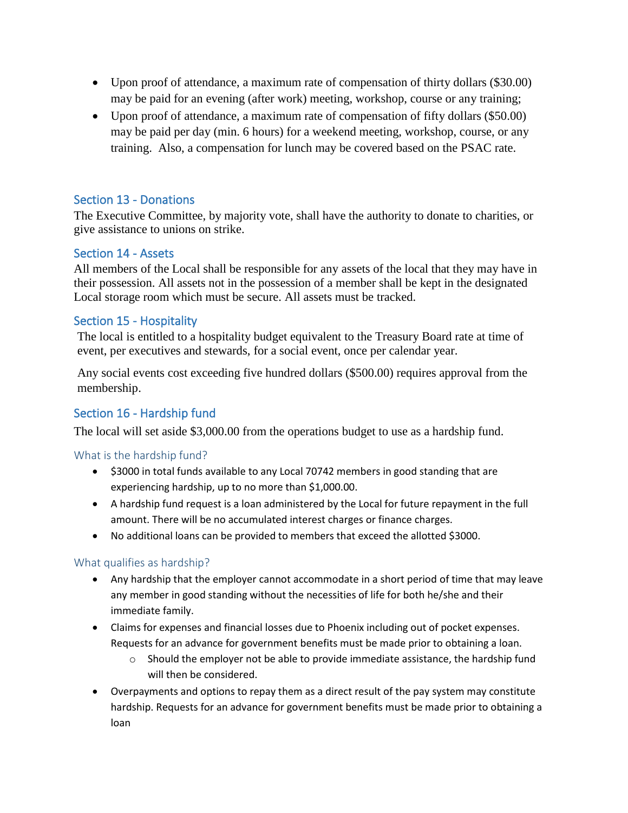- Upon proof of attendance, a maximum rate of compensation of thirty dollars (\$30.00) may be paid for an evening (after work) meeting, workshop, course or any training;
- Upon proof of attendance, a maximum rate of compensation of fifty dollars (\$50.00) may be paid per day (min. 6 hours) for a weekend meeting, workshop, course, or any training. Also, a compensation for lunch may be covered based on the PSAC rate.

#### <span id="page-10-0"></span>Section 13 - Donations

The Executive Committee, by majority vote, shall have the authority to donate to charities, or give assistance to unions on strike.

#### <span id="page-10-1"></span>Section 14 - Assets

All members of the Local shall be responsible for any assets of the local that they may have in their possession. All assets not in the possession of a member shall be kept in the designated Local storage room which must be secure. All assets must be tracked.

#### <span id="page-10-2"></span>Section 15 - Hospitality

The local is entitled to a hospitality budget equivalent to the Treasury Board rate at time of event, per executives and stewards, for a social event, once per calendar year.

Any social events cost exceeding five hundred dollars (\$500.00) requires approval from the membership.

#### <span id="page-10-3"></span>Section 16 - Hardship fund

The local will set aside \$3,000.00 from the operations budget to use as a hardship fund.

<span id="page-10-4"></span>What is the hardship fund?

- \$3000 in total funds available to any Local 70742 members in good standing that are experiencing hardship, up to no more than \$1,000.00.
- A hardship fund request is a loan administered by the Local for future repayment in the full amount. There will be no accumulated interest charges or finance charges.
- No additional loans can be provided to members that exceed the allotted \$3000.

#### <span id="page-10-5"></span>What qualifies as hardship?

- Any hardship that the employer cannot accommodate in a short period of time that may leave any member in good standing without the necessities of life for both he/she and their immediate family.
- Claims for expenses and financial losses due to Phoenix including out of pocket expenses. Requests for an advance for government benefits must be made prior to obtaining a loan.
	- $\circ$  Should the employer not be able to provide immediate assistance, the hardship fund will then be considered.
- Overpayments and options to repay them as a direct result of the pay system may constitute hardship. Requests for an advance for government benefits must be made prior to obtaining a loan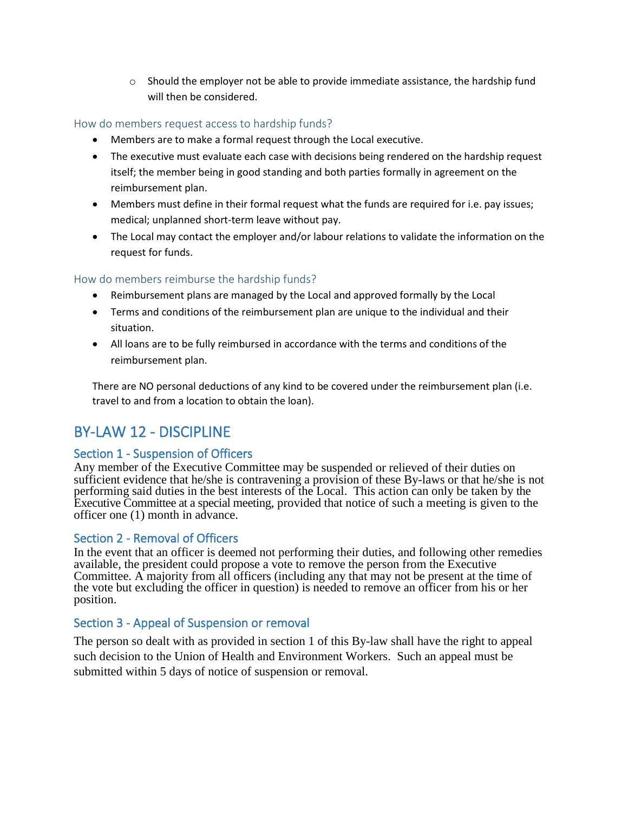$\circ$  Should the employer not be able to provide immediate assistance, the hardship fund will then be considered.

#### <span id="page-11-0"></span>How do members request access to hardship funds?

- Members are to make a formal request through the Local executive.
- The executive must evaluate each case with decisions being rendered on the hardship request itself; the member being in good standing and both parties formally in agreement on the reimbursement plan.
- Members must define in their formal request what the funds are required for i.e. pay issues; medical; unplanned short-term leave without pay.
- The Local may contact the employer and/or labour relations to validate the information on the request for funds.

#### <span id="page-11-1"></span>How do members reimburse the hardship funds?

- Reimbursement plans are managed by the Local and approved formally by the Local
- Terms and conditions of the reimbursement plan are unique to the individual and their situation.
- All loans are to be fully reimbursed in accordance with the terms and conditions of the reimbursement plan.

There are NO personal deductions of any kind to be covered under the reimbursement plan (i.e. travel to and from a location to obtain the loan).

## <span id="page-11-2"></span>BY-LAW 12 - DISCIPLINE

#### <span id="page-11-3"></span>Section 1 - Suspension of Officers

Any member of the Executive Committee may be suspended or relieved of their duties on sufficient evidence that he/she is contravening a provision of these By-laws or that he/she is not performing said duties in the best interests of the Local. This action can only be taken by the Executive Committee at a special meeting, provided that notice of such a meeting is given to the officer one (1) month in advance.

#### <span id="page-11-4"></span>Section 2 - Removal of Officers

In the event that an officer is deemed not performing their duties, and following other remedies available, the president could propose a vote to remove the person from the Executive Committee. A majority from all officers (including any that may not be present at the time of the vote but excluding the officer in question) is needed to remove an officer from his or her position.

#### <span id="page-11-5"></span>Section 3 - Appeal of Suspension or removal

The person so dealt with as provided in section 1 of this By-law shall have the right to appeal such decision to the Union of Health and Environment Workers. Such an appeal must be submitted within 5 days of notice of suspension or removal.